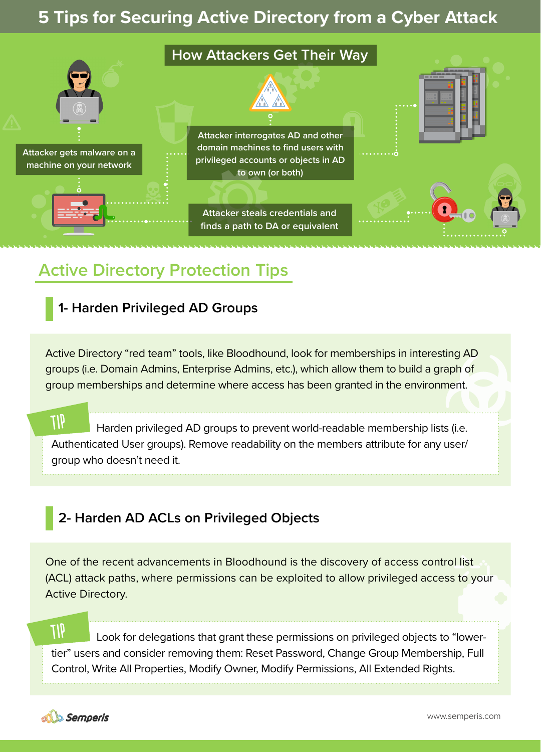# **5 Tips for Securing Active Directory from a Cyber Attack**



# **Active Directory Protection Tips**

### **1- Harden Privileged AD Groups**

Active Directory "red team" tools, like Bloodhound, look for memberships in interesting AD groups (i.e. Domain Admins, Enterprise Admins, etc.), which allow them to build a graph of group memberships and determine where access has been granted in the environment.

 $91T$ Harden privileged AD groups to prevent world-readable membership lists (i.e. Authenticated User groups). Remove readability on the members attribute for any user/ group who doesn't need it.

## **2- Harden AD ACLs on Privileged Objects**

One of the recent advancements in Bloodhound is the discovery of access control list (ACL) attack paths, where permissions can be exploited to allow privileged access to your Active Directory.

*all* Look for delegations that grant these permissions on privileged objects to "lowertier" users and consider removing them: Reset Password, Change Group Membership, Full Control, Write All Properties, Modify Owner, Modify Permissions, All Extended Rights.

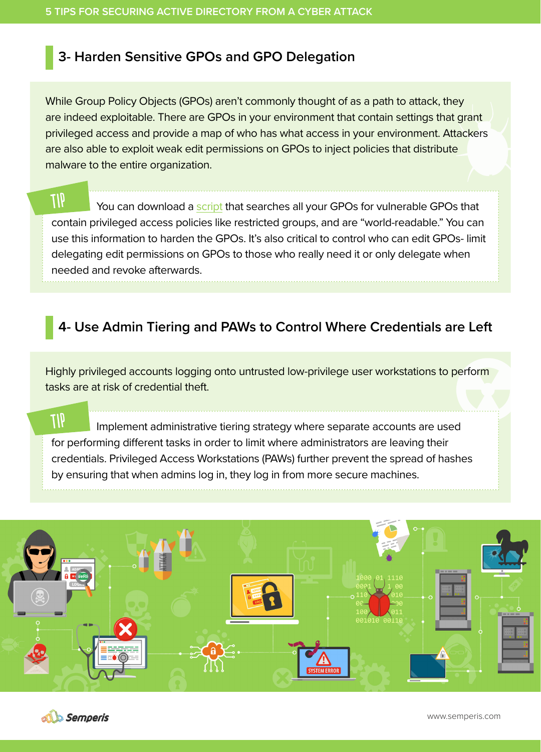### **3- Harden Sensitive GPOs and GPO Delegation**

While Group Policy Objects (GPOs) aren't commonly thought of as a path to attack, they are indeed exploitable. There are GPOs in your environment that contain settings that grant privileged access and provide a map of who has what access in your environment. Attackers are also able to exploit weak edit permissions on GPOs to inject policies that distribute malware to the entire organization.

**TIP** You can download a [script](https://github.com/gpoguy/GetVulnerableGPO) that searches all your GPOs for vulnerable GPOs that contain privileged access policies like restricted groups, and are "world-readable." You can Semperis use this information to harden the GPOs. It's also critical to control who can edit GPOs- limit delegating edit permissions on GPOs to those who really need it or only delegate when needed and revoke afterwards.

## **4- Use Admin Tiering and PAWs to Control Where Credentials are Left**

Highly privileged accounts logging onto untrusted low-privilege user workstations to perform tasks are at risk of credential theft.

 $\eta$ Implement administrative tiering strategy where separate accounts are used for performing different tasks in order to limit where administrators are leaving their credentials. Privileged Access Workstations (PAWs) further prevent the spread of hashes by ensuring that when admins log in, they log in from more secure machines.